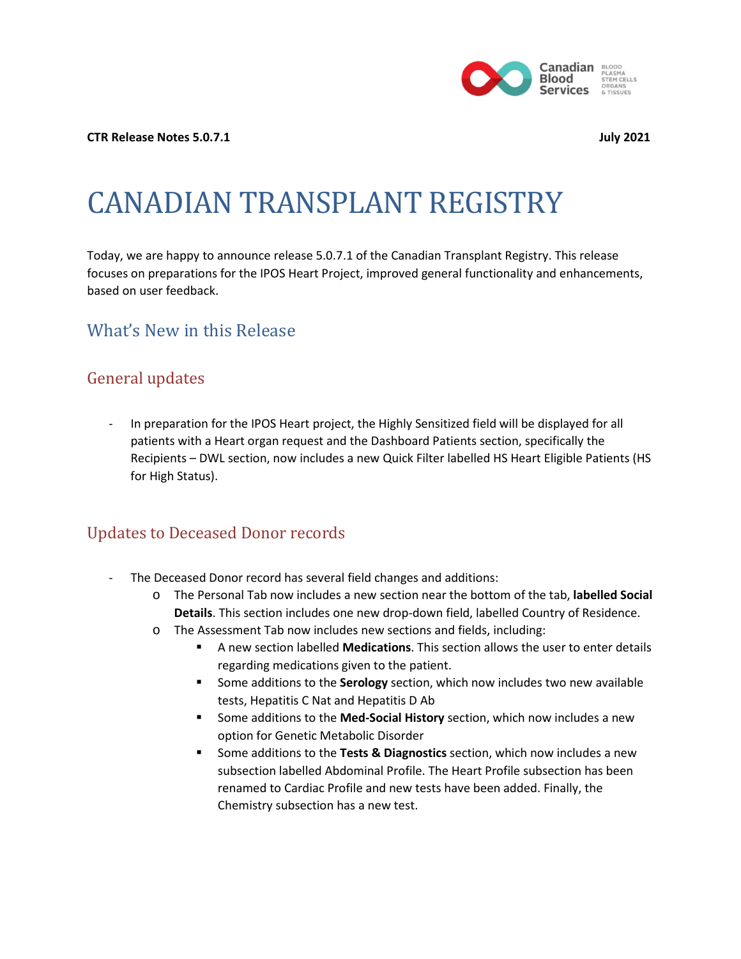

#### **CTR Release Notes 5.0.7.1 July 2021**

# CANADIAN TRANSPLANT REGISTRY

Today, we are happy to announce release 5.0.7.1 of the Canadian Transplant Registry. This release focuses on preparations for the IPOS Heart Project, improved general functionality and enhancements, based on user feedback.

#### What's New in this Release

#### General updates

In preparation for the IPOS Heart project, the Highly Sensitized field will be displayed for all patients with a Heart organ request and the Dashboard Patients section, specifically the Recipients – DWL section, now includes a new Quick Filter labelled HS Heart Eligible Patients (HS for High Status).

#### Updates to Deceased Donor records

- The Deceased Donor record has several field changes and additions:
	- o The Personal Tab now includes a new section near the bottom of the tab, **labelled Social Details**. This section includes one new drop-down field, labelled Country of Residence.
	- o The Assessment Tab now includes new sections and fields, including:
		- A new section labelled **Medications**. This section allows the user to enter details regarding medications given to the patient.
		- Some additions to the **Serology** section, which now includes two new available tests, Hepatitis C Nat and Hepatitis D Ab
		- Some additions to the **Med-Social History** section, which now includes a new option for Genetic Metabolic Disorder
		- Some additions to the **Tests & Diagnostics** section, which now includes a new subsection labelled Abdominal Profile. The Heart Profile subsection has been renamed to Cardiac Profile and new tests have been added. Finally, the Chemistry subsection has a new test.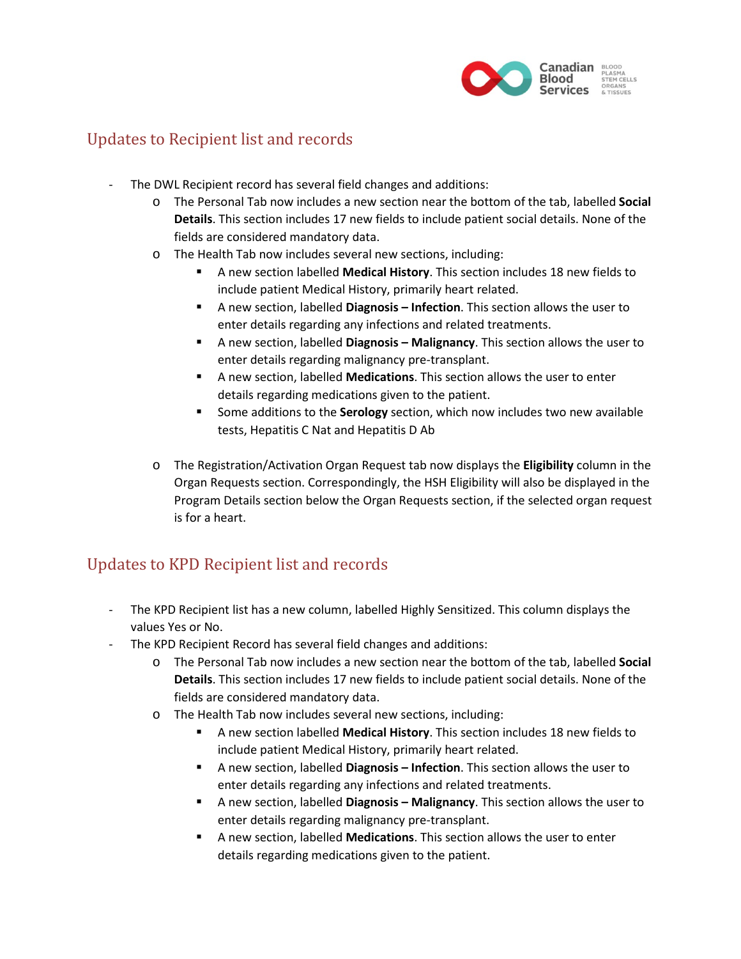

#### Updates to Recipient list and records

- The DWL Recipient record has several field changes and additions:
	- o The Personal Tab now includes a new section near the bottom of the tab, labelled **Social Details**. This section includes 17 new fields to include patient social details. None of the fields are considered mandatory data.
	- o The Health Tab now includes several new sections, including:
		- A new section labelled **Medical History**. This section includes 18 new fields to include patient Medical History, primarily heart related.
		- A new section, labelled **Diagnosis – Infection**. This section allows the user to enter details regarding any infections and related treatments.
		- A new section, labelled **Diagnosis – Malignancy**. This section allows the user to enter details regarding malignancy pre-transplant.
		- A new section, labelled **Medications**. This section allows the user to enter details regarding medications given to the patient.
		- Some additions to the **Serology** section, which now includes two new available tests, Hepatitis C Nat and Hepatitis D Ab
	- o The Registration/Activation Organ Request tab now displays the **Eligibility** column in the Organ Requests section. Correspondingly, the HSH Eligibility will also be displayed in the Program Details section below the Organ Requests section, if the selected organ request is for a heart.

## Updates to KPD Recipient list and records

- The KPD Recipient list has a new column, labelled Highly Sensitized. This column displays the values Yes or No.
- The KPD Recipient Record has several field changes and additions:
	- o The Personal Tab now includes a new section near the bottom of the tab, labelled **Social Details**. This section includes 17 new fields to include patient social details. None of the fields are considered mandatory data.
	- o The Health Tab now includes several new sections, including:
		- A new section labelled **Medical History**. This section includes 18 new fields to include patient Medical History, primarily heart related.
		- A new section, labelled **Diagnosis – Infection**. This section allows the user to enter details regarding any infections and related treatments.
		- A new section, labelled **Diagnosis – Malignancy**. This section allows the user to enter details regarding malignancy pre-transplant.
		- A new section, labelled **Medications**. This section allows the user to enter details regarding medications given to the patient.